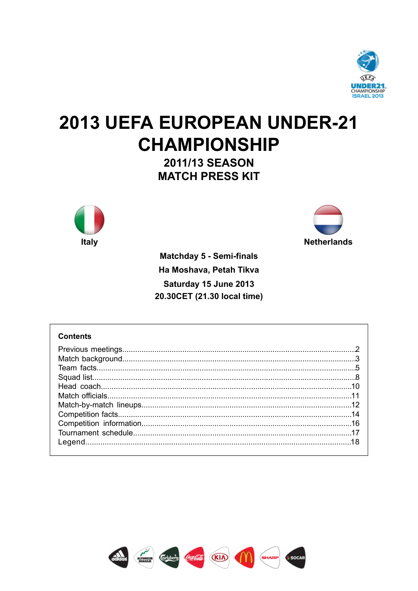

# 2013 UEFA EUROPEAN UNDER-21 **CHAMPIONSHIP**

2011/13 SEASON **MATCH PRESS KIT** 





**Matchday 5 - Semi-finals** Ha Moshava, Petah Tikva Saturday 15 June 2013 20.30CET (21.30 local time)

# **Contents**

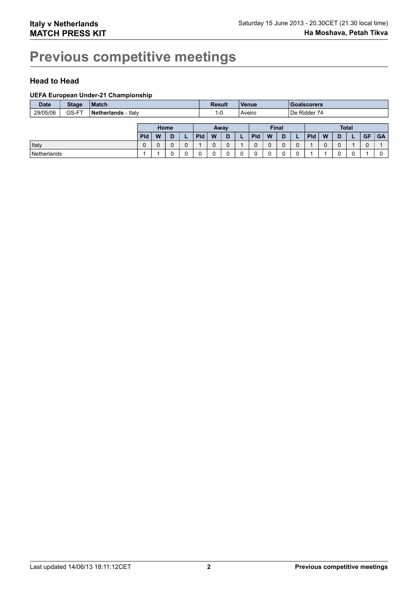# **Previous competitive meetings**

# **Head to Head**

#### **UEFA European Under-21 Championship**

| <b>Date</b> | <b>Stage</b> | <b>Match</b>        |            |   |      |  | <b>Result</b> |      |   | Venue                  |            |   | <b>Goalscorers</b> |  |            |   |   |              |           |           |
|-------------|--------------|---------------------|------------|---|------|--|---------------|------|---|------------------------|------------|---|--------------------|--|------------|---|---|--------------|-----------|-----------|
| 29/05/06    | GS-FT        | Netherlands - Italy |            |   |      |  | $1 - 0$       |      |   | De Ridder 74<br>Aveiro |            |   |                    |  |            |   |   |              |           |           |
|             |              |                     |            |   |      |  |               |      |   |                        |            |   |                    |  |            |   |   |              |           |           |
|             |              |                     |            |   | Home |  |               | Away |   |                        |            |   | <b>Final</b>       |  |            |   |   | <b>Total</b> |           |           |
|             |              |                     | <b>Pld</b> | W | D    |  | <b>Pld</b>    | W    | D |                        | <b>Pld</b> | W |                    |  | <b>Pld</b> | W | D |              | <b>GF</b> | <b>GA</b> |
| Italy       |              |                     | 0          |   |      |  |               | U    |   |                        |            | 0 |                    |  |            |   | U |              |           |           |
| Netherlands |              |                     |            |   |      |  |               |      |   | 0                      |            |   |                    |  |            |   |   |              |           |           |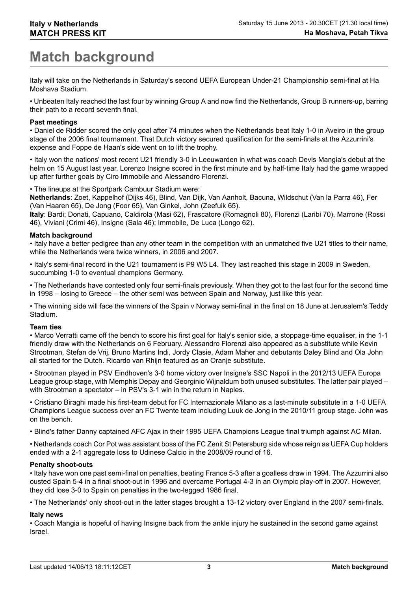# **Match background**

Italy will take on the Netherlands in Saturday's second UEFA European Under-21 Championship semi-final at Ha Moshava Stadium.

• Unbeaten Italy reached the last four by winning Group A and now find the Netherlands, Group B runners-up, barring their path to a record seventh final.

#### **Past meetings**

• Daniel de Ridder scored the only goal after 74 minutes when the Netherlands beat Italy 1-0 in Aveiro in the group stage of the 2006 final tournament. That Dutch victory secured qualification for the semi-finals at the Azzurrini's expense and Foppe de Haan's side went on to lift the trophy.

• Italy won the nations' most recent U21 friendly 3-0 in Leeuwarden in what was coach Devis Mangia's debut at the helm on 15 August last year. Lorenzo Insigne scored in the first minute and by half-time Italy had the game wrapped up after further goals by Ciro Immobile and Alessandro Florenzi.

• The lineups at the Sportpark Cambuur Stadium were:

**Netherlands**: Zoet, Kappelhof (Dijks 46), Blind, Van Dijk, Van Aanholt, Bacuna, Wildschut (Van la Parra 46), Fer (Van Haaren 65), De Jong (Foor 65), Van Ginkel, John (Zeefuik 65).

**Italy**: Bardi; Donati, Capuano, Caldirola (Masi 62), Frascatore (Romagnoli 80), Florenzi (Laribi 70), Marrone (Rossi 46), Viviani (Crimi 46), Insigne (Sala 46); Immobile, De Luca (Longo 62).

#### **Match background**

• Italy have a better pedigree than any other team in the competition with an unmatched five U21 titles to their name, while the Netherlands were twice winners, in 2006 and 2007.

• Italy's semi-final record in the U21 tournament is P9 W5 L4. They last reached this stage in 2009 in Sweden, succumbing 1-0 to eventual champions Germany.

• The Netherlands have contested only four semi-finals previously. When they got to the last four for the second time in 1998 – losing to Greece – the other semi was between Spain and Norway, just like this year.

• The winning side will face the winners of the Spain v Norway semi-final in the final on 18 June at Jerusalem's Teddy Stadium.

#### **Team ties**

• Marco Verratti came off the bench to score his first goal for Italy's senior side, a stoppage-time equaliser, in the 1-1 friendly draw with the Netherlands on 6 February. Alessandro Florenzi also appeared as a substitute while Kevin Strootman, Stefan de Vrij, Bruno Martins Indi, Jordy Clasie, Adam Maher and debutants Daley Blind and Ola John all started for the Dutch. Ricardo van Rhijn featured as an Oranje substitute.

• Strootman played in PSV Eindhoven's 3-0 home victory over Insigne's SSC Napoli in the 2012/13 UEFA Europa League group stage, with Memphis Depay and Georginio Wijnaldum both unused substitutes. The latter pair played – with Strootman a spectator – in PSV's 3-1 win in the return in Naples.

• Cristiano Biraghi made his first-team debut for FC Internazionale Milano as a last-minute substitute in a 1-0 UEFA Champions League success over an FC Twente team including Luuk de Jong in the 2010/11 group stage. John was on the bench.

• Blind's father Danny captained AFC Ajax in their 1995 UEFA Champions League final triumph against AC Milan.

• Netherlands coach Cor Pot was assistant boss of the FC Zenit St Petersburg side whose reign as UEFA Cup holders ended with a 2-1 aggregate loss to Udinese Calcio in the 2008/09 round of 16.

#### **Penalty shoot-outs**

• Italy have won one past semi-final on penalties, beating France 5-3 after a goalless draw in 1994. The Azzurrini also ousted Spain 5-4 in a final shoot-out in 1996 and overcame Portugal 4-3 in an Olympic play-off in 2007. However, they did lose 3-0 to Spain on penalties in the two-legged 1986 final.

• The Netherlands' only shoot-out in the latter stages brought a 13-12 victory over England in the 2007 semi-finals.

### **Italy news**

• Coach Mangia is hopeful of having Insigne back from the ankle injury he sustained in the second game against Israel.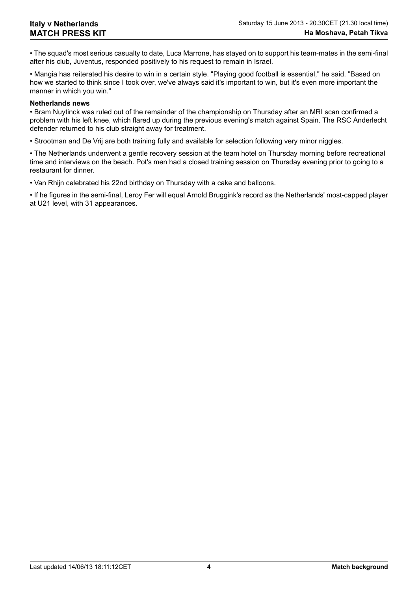• The squad's most serious casualty to date, Luca Marrone, has stayed on to support his team-mates in the semi-final after his club, Juventus, responded positively to his request to remain in Israel.

• Mangia has reiterated his desire to win in a certain style. "Playing good football is essential," he said. "Based on how we started to think since I took over, we've always said it's important to win, but it's even more important the manner in which you win."

#### **Netherlands news**

• Bram Nuytinck was ruled out of the remainder of the championship on Thursday after an MRI scan confirmed a problem with his left knee, which flared up during the previous evening's match against Spain. The RSC Anderlecht defender returned to his club straight away for treatment.

• Strootman and De Vrij are both training fully and available for selection following very minor niggles.

• The Netherlands underwent a gentle recovery session at the team hotel on Thursday morning before recreational time and interviews on the beach. Pot's men had a closed training session on Thursday evening prior to going to a restaurant for dinner.

• Van Rhijn celebrated his 22nd birthday on Thursday with a cake and balloons.

• If he figures in the semi-final, Leroy Fer will equal Arnold Bruggink's record as the Netherlands' most-capped player at U21 level, with 31 appearances.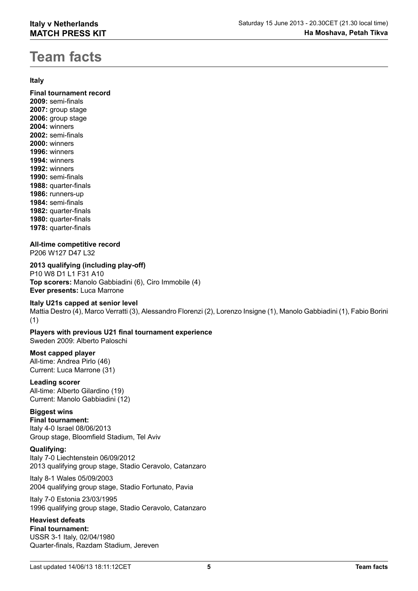# **Team facts**

### **Italy**

**Final tournament record 2009:** semi-finals **2007:** group stage **2006:** group stage **2004:** winners **2002:** semi-finals **2000:** winners **1996:** winners **1994:** winners **1992:** winners **1990:** semi-finals **1988:** quarter-finals **1986:** runners-up **1984:** semi-finals **1982:** quarter-finals **1980:** quarter-finals **1978:** quarter-finals

# **All-time competitive record**

P206 W127 D47 L32

**2013 qualifying (including play-off)** P10 W8 D1 L1 F31 A10 **Top scorers:** Manolo Gabbiadini (6), Ciro Immobile (4) **Ever presents:** Luca Marrone

### **Italy U21s capped at senior level**

Mattia Destro (4), Marco Verratti (3), Alessandro Florenzi (2), Lorenzo Insigne (1), Manolo Gabbiadini (1), Fabio Borini (1)

# **Players with previous U21 final tournament experience**

Sweden 2009: Alberto Paloschi

### **Most capped player**

All-time: Andrea Pirlo (46) Current: Luca Marrone (31)

# **Leading scorer**

All-time: Alberto Gilardino (19) Current: Manolo Gabbiadini (12)

# **Biggest wins**

**Final tournament:** Italy 4-0 Israel 08/06/2013 Group stage, Bloomfield Stadium, Tel Aviv

### **Qualifying:**

Italy 7-0 Liechtenstein 06/09/2012 2013 qualifying group stage, Stadio Ceravolo, Catanzaro

Italy 8-1 Wales 05/09/2003 2004 qualifying group stage, Stadio Fortunato, Pavia

Italy 7-0 Estonia 23/03/1995 1996 qualifying group stage, Stadio Ceravolo, Catanzaro

# **Heaviest defeats**

**Final tournament:** USSR 3-1 Italy, 02/04/1980 Quarter-finals, Razdam Stadium, Jereven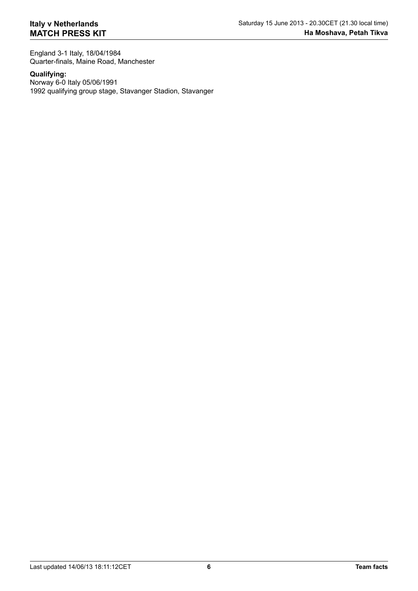England 3-1 Italy, 18/04/1984 Quarter-finals, Maine Road, Manchester

#### **Qualifying:**

Norway 6-0 Italy 05/06/1991 1992 qualifying group stage, Stavanger Stadion, Stavanger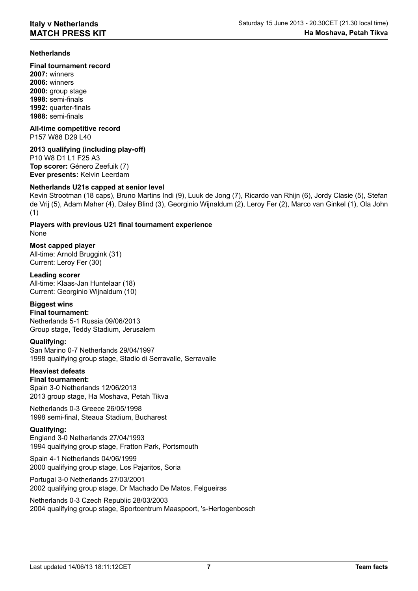### **Netherlands**

**Final tournament record**

**2007:** winners **2006:** winners **2000:** group stage **1998:** semi-finals **1992:** quarter-finals **1988:** semi-finals

**All-time competitive record** P157 W88 D29 L40

#### **2013 qualifying (including play-off)**

P10 W8 D1 L1 F25 A3 **Top scorer:** Género Zeefuik (7) **Ever presents:** Kelvin Leerdam

#### **Netherlands U21s capped at senior level**

Kevin Strootman (18 caps), Bruno Martins Indi (9), Luuk de Jong (7), Ricardo van Rhijn (6), Jordy Clasie (5), Stefan de Vrij (5), Adam Maher (4), Daley Blind (3), Georginio Wijnaldum (2), Leroy Fer (2), Marco van Ginkel (1), Ola John (1)

**Players with previous U21 final tournament experience** None

### **Most capped player**

All-time: Arnold Bruggink (31) Current: Leroy Fer (30)

#### **Leading scorer**

All-time: Klaas-Jan Huntelaar (18) Current: Georginio Wijnaldum (10)

## **Biggest wins**

**Final tournament:** Netherlands 5-1 Russia 09/06/2013 Group stage, Teddy Stadium, Jerusalem

#### **Qualifying:**

San Marino 0-7 Netherlands 29/04/1997 1998 qualifying group stage, Stadio di Serravalle, Serravalle

# **Heaviest defeats**

**Final tournament:** Spain 3-0 Netherlands 12/06/2013 2013 group stage, Ha Moshava, Petah Tikva

Netherlands 0-3 Greece 26/05/1998 1998 semi-final, Steaua Stadium, Bucharest

#### **Qualifying:**

England 3-0 Netherlands 27/04/1993 1994 qualifying group stage, Fratton Park, Portsmouth

Spain 4-1 Netherlands 04/06/1999 2000 qualifying group stage, Los Pajaritos, Soria

Portugal 3-0 Netherlands 27/03/2001 2002 qualifying group stage, Dr Machado De Matos, Felgueiras

Netherlands 0-3 Czech Republic 28/03/2003 2004 qualifying group stage, Sportcentrum Maaspoort, 's-Hertogenbosch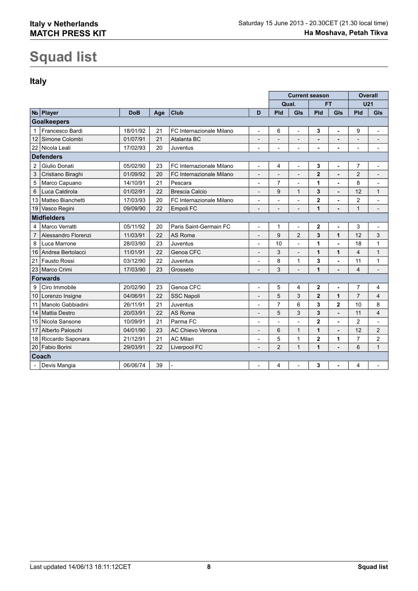# **Squad list**

# **Italy**

|                |                      |            |     |                          |                | <b>Current season</b> |                          |                | <b>Overall</b> |                 |                          |
|----------------|----------------------|------------|-----|--------------------------|----------------|-----------------------|--------------------------|----------------|----------------|-----------------|--------------------------|
|                |                      |            |     |                          |                | Qual.                 |                          |                | FT             | U <sub>21</sub> |                          |
|                | No Player            | <b>DoB</b> | Age | <b>Club</b>              | D              | Pld                   | GIs                      | Pld            | GIs            | Pld             | GIs                      |
|                | <b>Goalkeepers</b>   |            |     |                          |                |                       |                          |                |                |                 |                          |
| $\mathbf{1}$   | Francesco Bardi      | 18/01/92   | 21  | FC Internazionale Milano | $\overline{a}$ | 6                     | $\overline{\phantom{a}}$ | 3              | ä,             | 9               | $\overline{\phantom{0}}$ |
| 12             | Simone Colombi       | 01/07/91   | 21  | Atalanta BC              |                |                       |                          |                |                | $\overline{a}$  | $\overline{\phantom{a}}$ |
| 22             | Nicola Leali         | 17/02/93   | 20  | Juventus                 |                |                       | $\overline{a}$           | ä,             |                | Ĭ.              | $\overline{a}$           |
|                | <b>Defenders</b>     |            |     |                          |                |                       |                          |                |                |                 |                          |
| $\overline{2}$ | Giulio Donati        | 05/02/90   | 23  | FC Internazionale Milano | $\overline{a}$ | 4                     | $\overline{a}$           | 3              | ä,             | 7               | $\overline{a}$           |
| 3              | Cristiano Biraghi    | 01/09/92   | 20  | FC Internazionale Milano |                |                       |                          | $\mathbf 2$    |                | $\overline{c}$  | $\overline{a}$           |
| 5              | Marco Capuano        | 14/10/91   | 21  | Pescara                  | $\overline{a}$ | $\overline{7}$        | $\overline{a}$           | 1              | ä,             | 8               | $\overline{a}$           |
| 6              | Luca Caldirola       | 01/02/91   | 22  | <b>Brescia Calcio</b>    | $\overline{a}$ | 9                     | 1                        | 3              | $\blacksquare$ | 12              | 1                        |
| 13             | Matteo Bianchetti    | 17/03/93   | 20  | FC Internazionale Milano |                |                       | $\overline{a}$           | $\mathbf 2$    |                | $\overline{c}$  |                          |
| 19             | Vasco Regini         | 09/09/90   | 22  | Empoli FC                | $\overline{a}$ |                       | $\overline{a}$           | 1              | $\blacksquare$ | $\mathbf{1}$    | $\overline{a}$           |
|                | <b>Midfielders</b>   |            |     |                          |                |                       |                          |                |                |                 |                          |
|                | Marco Verratti       | 05/11/92   | 20  | Paris Saint-Germain FC   | $\overline{a}$ | 1                     | $\qquad \qquad -$        | 2              | ä,             | 3               | $\overline{a}$           |
| $\overline{7}$ | Alessandro Florenzi  | 11/03/91   | 22  | <b>AS Roma</b>           |                | 9                     | $\overline{2}$           | 3              | 1              | 12              | 3                        |
| 8              | Luca Marrone         | 28/03/90   | 23  | Juventus                 | $\overline{a}$ | 10                    | $\overline{\phantom{a}}$ | 1              | ä,             | 18              | 1                        |
| 16             | Andrea Bertolacci    | 11/01/91   | 22  | Genoa CFC                |                | 3                     | $\overline{a}$           | 1              | 1              | 4               | $\mathbf{1}$             |
| 21             | Fausto Rossi         | 03/12/90   | 22  | Juventus                 | $\overline{a}$ | 8                     | 1                        | 3              | ä,             | 11              | 1                        |
| 23             | Marco Crimi          | 17/03/90   | 23  | Grosseto                 |                | 3                     | $\overline{a}$           | 1              | $\blacksquare$ | $\overline{4}$  | $\overline{a}$           |
|                | <b>Forwards</b>      |            |     |                          |                |                       |                          |                |                |                 |                          |
| 9              | Ciro Immobile        | 20/02/90   | 23  | Genoa CFC                |                | 5                     | 4                        | $\mathbf 2$    | ä,             | $\overline{7}$  | 4                        |
| 10             | Lorenzo Insigne      | 04/06/91   | 22  | <b>SSC Napoli</b>        | $\overline{a}$ | 5                     | 3                        | $\overline{2}$ | 1              | $\overline{7}$  | $\overline{4}$           |
| 11             | Manolo Gabbiadini    | 26/11/91   | 21  | Juventus                 |                | 7                     | 6                        | 3              | $\overline{2}$ | 10              | 8                        |
| 14             | Mattia Destro        | 20/03/91   | 22  | AS Roma                  |                | 5                     | 3                        | 3              | $\blacksquare$ | 11              | 4                        |
| 15             | Nicola Sansone       | 10/09/91   | 21  | Parma FC                 | $\overline{a}$ |                       | $\overline{a}$           | $\overline{2}$ | ä,             | $\overline{c}$  | $\overline{a}$           |
| 17             | Alberto Paloschi     | 04/01/90   | 23  | AC Chievo Verona         |                | 6                     | $\mathbf{1}$             | 1              |                | 12              | $\overline{2}$           |
|                | 18 Riccardo Saponara | 21/12/91   | 21  | <b>AC Milan</b>          | $\overline{a}$ | 5                     | 1                        | $\overline{2}$ | 1              | 7               | $\overline{c}$           |
| 20             | Fabio Borini         | 29/03/91   | 22  | Liverpool FC             |                | $\overline{2}$        | $\mathbf{1}$             | 1              | ä,             | 6               | $\mathbf{1}$             |
|                | Coach                |            |     |                          |                |                       |                          |                |                |                 |                          |
|                | Devis Mangia         | 06/06/74   | 39  |                          | $\overline{a}$ | 4                     | $\overline{a}$           | 3              |                | 4               |                          |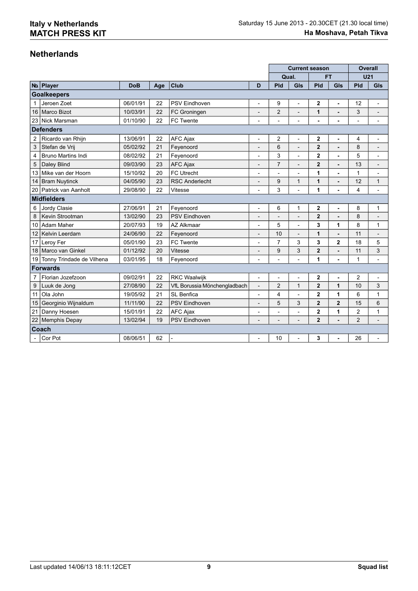# **Netherlands**

|                |                           |            |     |                              |                          | <b>Current season</b>    |                          |                         | <b>Overall</b> |                |                          |
|----------------|---------------------------|------------|-----|------------------------------|--------------------------|--------------------------|--------------------------|-------------------------|----------------|----------------|--------------------------|
|                |                           |            |     |                              |                          | Qual.                    |                          |                         | <b>FT</b>      | <b>U21</b>     |                          |
|                | No Player                 | <b>DoB</b> | Age | Club                         | D                        | Pld                      | GIs                      | Pld                     | GIs            | Pld            | GIs                      |
|                | <b>Goalkeepers</b>        |            |     |                              |                          |                          |                          |                         |                |                |                          |
|                | Jeroen Zoet               | 06/01/91   | 22  | <b>PSV Eindhoven</b>         | $\overline{\phantom{0}}$ | 9                        | $\overline{\phantom{a}}$ | 2                       | ÷,             | 12             | $\overline{a}$           |
| 16             | Marco Bizot               | 10/03/91   | 22  | FC Groningen                 | $\overline{a}$           | $\overline{c}$           | $\overline{\phantom{0}}$ | 1                       | $\blacksquare$ | 3              | $\overline{a}$           |
|                | 23 Nick Marsman           | 01/10/90   | 22  | FC Twente                    |                          |                          |                          |                         | ä,             |                |                          |
|                | <b>Defenders</b>          |            |     |                              |                          |                          |                          |                         |                |                |                          |
| $\overline{c}$ | Ricardo van Rhijn         | 13/06/91   | 22  | AFC Ajax                     | $\overline{\phantom{a}}$ | $\overline{c}$           | $\overline{\phantom{0}}$ | $\overline{2}$          | ٠              | 4              | $\overline{a}$           |
| 3              | Stefan de Vrij            | 05/02/92   | 21  | Feyenoord                    |                          | 6                        | $\overline{a}$           | 2                       |                | 8              | $\overline{\phantom{a}}$ |
| $\overline{4}$ | <b>Bruno Martins Indi</b> | 08/02/92   | 21  | Feyenoord                    | $\overline{a}$           | 3                        | $\overline{a}$           | $\overline{2}$          | $\blacksquare$ | 5              | $\overline{\phantom{a}}$ |
| 5              | Daley Blind               | 09/03/90   | 23  | <b>AFC Ajax</b>              | -                        | $\overline{7}$           | $\overline{\phantom{0}}$ | $\overline{2}$          | $\blacksquare$ | 13             | $\overline{a}$           |
| 13             | Mike van der Hoorn        | 15/10/92   | 20  | <b>FC Utrecht</b>            |                          |                          |                          | 1                       | ÷              | $\mathbf{1}$   | $\overline{\phantom{a}}$ |
| 14             | <b>Bram Nuytinck</b>      | 04/05/90   | 23  | <b>RSC Anderlecht</b>        | $\qquad \qquad -$        | 9                        | 1                        | $\mathbf{1}$            | $\blacksquare$ | 12             | 1                        |
|                | 20 Patrick van Aanholt    | 29/08/90   | 22  | Vitesse                      | $\overline{a}$           | 3                        | $\overline{a}$           | 1                       | ÷,             | 4              | $\overline{a}$           |
|                | <b>Midfielders</b>        |            |     |                              |                          |                          |                          |                         |                |                |                          |
| 6              | Jordy Clasie              | 27/06/91   | 21  | Feyenoord                    | $\overline{a}$           | 6                        | 1                        | 2                       | ä,             | 8              | 1                        |
| 8              | Kevin Strootman           | 13/02/90   | 23  | <b>PSV Eindhoven</b>         | $\overline{\phantom{a}}$ |                          | $\overline{\phantom{a}}$ | $\overline{2}$          | L,             | 8              |                          |
| 10             | <b>Adam Maher</b>         | 20/07/93   | 19  | <b>AZ Alkmaar</b>            |                          | 5                        |                          | 3                       | 1              | 8              | 1                        |
| 12             | Kelvin Leerdam            | 24/06/90   | 22  | Feyenoord                    | $\qquad \qquad -$        | 10                       | $\overline{a}$           | 1                       | $\blacksquare$ | 11             | $\overline{a}$           |
| 17             | Leroy Fer                 | 05/01/90   | 23  | FC Twente                    | $\overline{a}$           | $\overline{7}$           | 3                        | 3                       | $\overline{2}$ | 18             | 5                        |
| 18             | Marco van Ginkel          | 01/12/92   | 20  | Vitesse                      |                          | 9                        | 3                        | $\overline{2}$          |                | 11             | 3                        |
| 19             | Tonny Trindade de Vilhena | 03/01/95   | 18  | Feyenoord                    | $\overline{\phantom{a}}$ | $\overline{a}$           | $\overline{\phantom{0}}$ | 1                       | ä,             | 1              | $\overline{\phantom{a}}$ |
|                | <b>Forwards</b>           |            |     |                              |                          |                          |                          |                         |                |                |                          |
| 7              | Florian Jozefzoon         | 09/02/91   | 22  | <b>RKC Waalwijk</b>          | $\overline{a}$           |                          | $\overline{a}$           | $\overline{\mathbf{c}}$ |                | $\overline{2}$ | $\overline{a}$           |
| 9              | Luuk de Jong              | 27/08/90   | 22  | VfL Borussia Mönchengladbach | $\overline{a}$           | $\overline{2}$           | $\mathbf{1}$             | $\overline{2}$          | 1              | 10             | 3                        |
| 11             | Ola John                  | 19/05/92   | 21  | SL Benfica                   | $\overline{a}$           | 4                        | $\overline{a}$           | 2                       | 1              | 6              | 1                        |
| 15             | Georginio Wijnaldum       | 11/11/90   | 22  | <b>PSV Eindhoven</b>         |                          | 5                        | 3                        | $\overline{2}$          | $\overline{2}$ | 15             | 6                        |
| 21             | Danny Hoesen              | 15/01/91   | 22  | <b>AFC Ajax</b>              | $\overline{a}$           | $\overline{\phantom{0}}$ | $\overline{\phantom{0}}$ | $\overline{2}$          | 1              | $\overline{2}$ | 1                        |
|                | 22 Memphis Depay          | 13/02/94   | 19  | <b>PSV Eindhoven</b>         | $\overline{a}$           | $\overline{\phantom{0}}$ | $\overline{a}$           | $\overline{2}$          | ÷.             | $\overline{2}$ | $\overline{\phantom{a}}$ |
|                | Coach                     |            |     |                              |                          |                          |                          |                         |                |                |                          |
|                | Cor Pot                   | 08/06/51   | 62  |                              | $\overline{\phantom{0}}$ | 10                       | $\overline{\phantom{0}}$ | 3                       | ÷              | 26             |                          |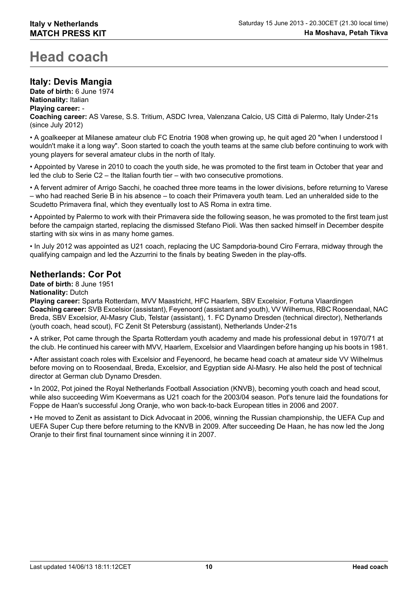# **Head coach**

# **Italy: Devis Mangia**

**Date of birth:** 6 June 1974 **Nationality:** Italian **Playing career:** - **Coaching career:** AS Varese, S.S. Tritium, ASDC Ivrea, Valenzana Calcio, US Città di Palermo, Italy Under-21s (since July 2012)

• A goalkeeper at Milanese amateur club FC Enotria 1908 when growing up, he quit aged 20 "when I understood I wouldn't make it a long way". Soon started to coach the youth teams at the same club before continuing to work with young players for several amateur clubs in the north of Italy.

• Appointed by Varese in 2010 to coach the youth side, he was promoted to the first team in October that year and led the club to Serie C2 – the Italian fourth tier – with two consecutive promotions.

• A fervent admirer of Arrigo Sacchi, he coached three more teams in the lower divisions, before returning to Varese – who had reached Serie B in his absence – to coach their Primavera youth team. Led an unheralded side to the Scudetto Primavera final, which they eventually lost to AS Roma in extra time.

• Appointed by Palermo to work with their Primavera side the following season, he was promoted to the first team just before the campaign started, replacing the dismissed Stefano Pioli. Was then sacked himself in December despite starting with six wins in as many home games.

• In July 2012 was appointed as U21 coach, replacing the UC Sampdoria-bound Ciro Ferrara, midway through the qualifying campaign and led the Azzurrini to the finals by beating Sweden in the play-offs.

# **Netherlands: Cor Pot**

**Date of birth:** 8 June 1951

#### **Nationality:** Dutch

**Playing career:** Sparta Rotterdam, MVV Maastricht, HFC Haarlem, SBV Excelsior, Fortuna Vlaardingen **Coaching career:** SVB Excelsior (assistant), Feyenoord (assistant and youth), VV Wilhemus, RBC Roosendaal, NAC Breda, SBV Excelsior, Al-Masry Club, Telstar (assistant), 1. FC Dynamo Dresden (technical director), Netherlands (youth coach, head scout), FC Zenit St Petersburg (assistant), Netherlands Under-21s

• A striker, Pot came through the Sparta Rotterdam youth academy and made his professional debut in 1970/71 at the club. He continued his career with MVV, Haarlem, Excelsior and Vlaardingen before hanging up his boots in 1981.

• After assistant coach roles with Excelsior and Feyenoord, he became head coach at amateur side VV Wilhelmus before moving on to Roosendaal, Breda, Excelsior, and Egyptian side Al-Masry. He also held the post of technical director at German club Dynamo Dresden.

• In 2002, Pot joined the Royal Netherlands Football Association (KNVB), becoming youth coach and head scout, while also succeeding Wim Koevermans as U21 coach for the 2003/04 season. Pot's tenure laid the foundations for Foppe de Haan's successful Jong Oranje, who won back-to-back European titles in 2006 and 2007.

• He moved to Zenit as assistant to Dick Advocaat in 2006, winning the Russian championship, the UEFA Cup and UEFA Super Cup there before returning to the KNVB in 2009. After succeeding De Haan, he has now led the Jong Oranje to their first final tournament since winning it in 2007.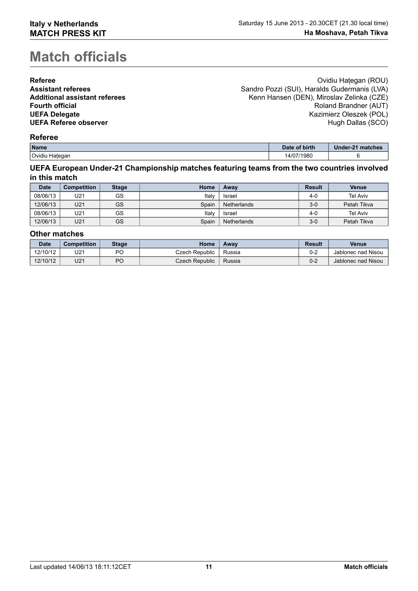# **Match officials**

| <b>Referee</b>                       | Ovidiu Hategan (ROU)                         |
|--------------------------------------|----------------------------------------------|
| <b>Assistant referees</b>            | Sandro Pozzi (SUI), Haralds Gudermanis (LVA) |
| <b>Additional assistant referees</b> | Kenn Hansen (DEN), Miroslav Zelinka (CZE)    |
| <b>Fourth official</b>               | Roland Brandner (AUT)                        |
| <b>UEFA Delegate</b>                 | Kazimierz Oleszek (POL)                      |
| <b>UEFA Referee observer</b>         | Hugh Dallas (SCO)                            |
|                                      |                                              |

## **Referee**

| Name              | Date of birth   | Under-21 matches |
|-------------------|-----------------|------------------|
| Ovidiu<br>Hategan | 7/1980<br>14/07 |                  |

#### **UEFA European Under-21 Championship matches featuring teams from the two countries involved in this match**

| <b>Date</b> | <b>Competition</b> | <b>Stage</b> | Home  | Awav               | <b>Result</b> | Venue           |
|-------------|--------------------|--------------|-------|--------------------|---------------|-----------------|
| 08/06/13    | U21                | GS           | Italv | Israel             | $4 - 0$       | <b>Tel Aviv</b> |
| 12/06/13    | U21                | GS           | Spain | <b>Netherlands</b> | $3-0$         | Petah Tikva     |
| 08/06/13    | U21                | GS           | Italv | Israel             | 4-0           | <b>Tel Aviv</b> |
| 12/06/13    | U21                | GS           | Spain | <b>Netherlands</b> | 3-0           | Petah Tikva     |

#### **Other matches**

| <b>Date</b> | <b>Competition</b> | <b>Stage</b> | Home           | Awav   | <b>Result</b> | <b>Venue</b>       |
|-------------|--------------------|--------------|----------------|--------|---------------|--------------------|
| 12/10/12    | U21                | РC           | Czech Republic | Russia | 0-2           | Jablonec nad Nisou |
| 12/10/12    | U21                | PC           | Czech Republic | Russia | 0-2           | Jablonec nad Nisou |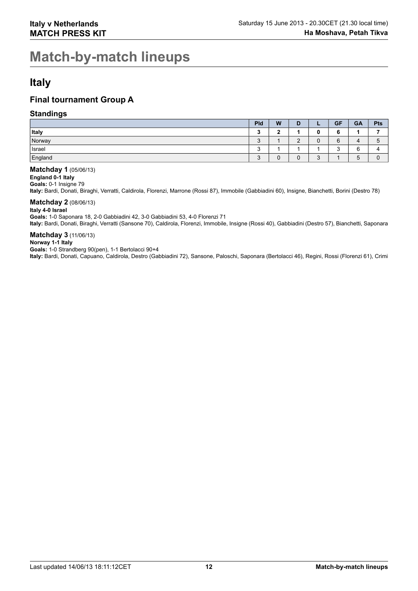# **Match-by-match lineups**

# **Italy**

# **Final tournament Group A**

### **Standings**

|              | Pld                       | W      | D                             |              | <b>GF</b> | <b>GA</b> | Pts             |
|--------------|---------------------------|--------|-------------------------------|--------------|-----------|-----------|-----------------|
| <b>Italy</b> |                           | ◠      |                               | 0            | v         |           |                 |
| Norway       | r<br>$\ddot{\phantom{0}}$ |        | ◠<br>-                        | υ            | 6         | 4         | G               |
| Israel       | r<br>د.                   |        |                               |              | ∽<br>ັ    |           | $\Delta$        |
| England      | c<br>u                    | ◠<br>v | $\overline{\phantom{0}}$<br>v | $\sim$<br>ູບ |           | -<br>5    | $\sqrt{2}$<br>υ |

#### **Matchday 1** (05/06/13)

**England 0-1 Italy**

**Goals:** 0-1 Insigne 79

**Italy:** Bardi, Donati, Biraghi, Verratti, Caldirola, Florenzi, Marrone (Rossi 87), Immobile (Gabbiadini 60), Insigne, Bianchetti, Borini (Destro 78)

### **Matchday 2** (08/06/13)

**Italy 4-0 Israel Goals:** 1-0 Saponara 18, 2-0 Gabbiadini 42, 3-0 Gabbiadini 53, 4-0 Florenzi 71 **Italy:** Bardi, Donati, Biraghi, Verratti (Sansone 70), Caldirola, Florenzi, Immobile, Insigne (Rossi 40), Gabbiadini (Destro 57), Bianchetti, Saponara

#### **Matchday 3** (11/06/13)

#### **Norway 1-1 Italy**

**Goals:** 1-0 Strandberg 90(pen), 1-1 Bertolacci 90+4

**Italy:** Bardi, Donati, Capuano, Caldirola, Destro (Gabbiadini 72), Sansone, Paloschi, Saponara (Bertolacci 46), Regini, Rossi (Florenzi 61), Crimi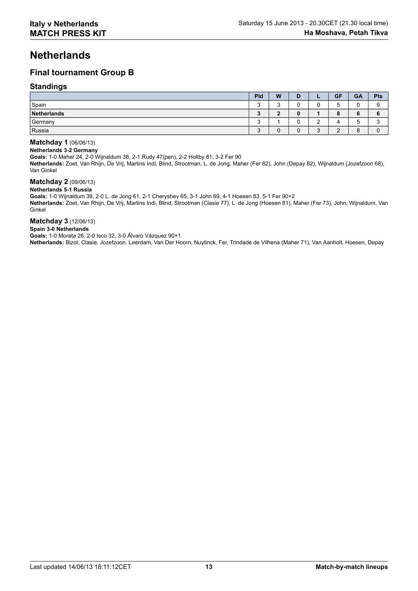# **Netherlands**

# **Final tournament Group B**

#### **Standings**

|             | Pld         | W         | D      | -                  | <b>GF</b> | GA            | <b>Pts</b> |
|-------------|-------------|-----------|--------|--------------------|-----------|---------------|------------|
| Spain       | ົ<br>J      | ⌒         | ⌒<br>ັ | ⌒<br>U             | -         |               | ◠          |
| Netherlands | ≏<br>◡      | $\bullet$ | 0      |                    | o         | o             |            |
| Germany     | $\sim$<br>J |           | ⌒<br>ັ | $\sim$<br><u>.</u> |           | ∽<br>ັບ       | ◠          |
| Russia      | $\sim$<br>J | ⌒         | ◠<br>υ | ີ<br>ر             |           | $\Omega$<br>o |            |

#### **Matchday 1** (06/06/13)

#### **Netherlands 3-2 Germany**

**Goals:** 1-0 Maher 24, 2-0 Wijnaldum 38, 2-1 Rudy 47(pen), 2-2 Holtby 81, 3-2 Fer 90

**Netherlands:** Zoet, Van Rhijn, De Vrij, Martins Indi, Blind, Strootman, L. de Jong, Maher (Fer 82), John (Depay 82), Wijnaldum (Jozefzoon 68), Van Ginkel

# **Matchday 2** (09/06/13)

**Netherlands 5-1 Russia**

**Goals:** 1-0 Wijnaldum 39, 2-0 L. de Jong 61, 2-1 Cheryshev 65, 3-1 John 69, 4-1 Hoesen 83, 5-1 Fer 90+2

**Netherlands:** Zoet, Van Rhijn, De Vrij, Martins Indi, Blind, Strootman (Clasie 77), L. de Jong (Hoesen 81), Maher (Fer 73), John, Wijnaldum, Van Ginkel

#### **Matchday 3** (12/06/13)

#### **Spain 3-0 Netherlands**

**Goals:** 1-0 Morata 26, 2-0 Isco 32, 3-0 Álvaro Vázquez 90+1

**Netherlands:** Bizot, Clasie, Jozefzoon, Leerdam, Van Der Hoorn, Nuytinck, Fer, Trindade de Vilhena (Maher 71), Van Aanholt, Hoesen, Depay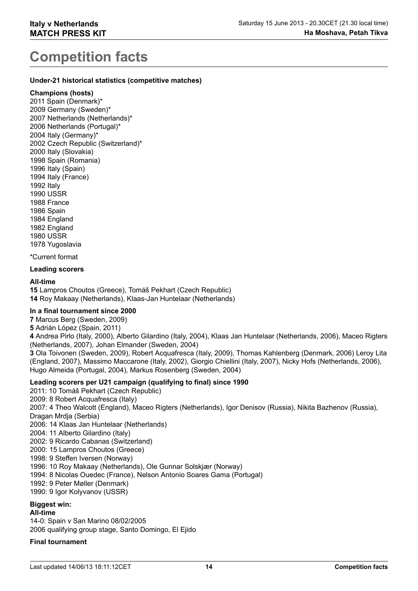# **Competition facts**

#### **Under-21 historical statistics (competitive matches)**

#### **Champions (hosts)**

2011 Spain (Denmark)\* 2009 Germany (Sweden)\* 2007 Netherlands (Netherlands)\* 2006 Netherlands (Portugal)\* 2004 Italy (Germany)\* 2002 Czech Republic (Switzerland)\* 2000 Italy (Slovakia) 1998 Spain (Romania) 1996 Italy (Spain) 1994 Italy (France) 1992 Italy 1990 USSR 1988 France 1986 Spain 1984 England 1982 England 1980 USSR 1978 Yugoslavia

\*Current format

### **Leading scorers**

#### **All-time**

**15** Lampros Choutos (Greece), Tomáš Pekhart (Czech Republic) **14** Roy Makaay (Netherlands), Klaas-Jan Huntelaar (Netherlands)

#### **In a final tournament since 2000**

**7** Marcus Berg (Sweden, 2009)

**5** Adrián López (Spain, 2011)

**4** Andrea Pirlo (Italy, 2000), Alberto Gilardino (Italy, 2004), Klaas Jan Huntelaar (Netherlands, 2006), Maceo Rigters (Netherlands, 2007), Johan Elmander (Sweden, 2004)

**3** Ola Toivonen (Sweden, 2009), Robert Acquafresca (Italy, 2009), Thomas Kahlenberg (Denmark, 2006) Leroy Lita (England, 2007), Massimo Maccarone (Italy, 2002), Giorgio Chiellini (Italy, 2007), Nicky Hofs (Netherlands, 2006), Hugo Almeida (Portugal, 2004), Markus Rosenberg (Sweden, 2004)

#### **Leading scorers per U21 campaign (qualifying to final) since 1990**

2011: 10 Tomáš Pekhart (Czech Republic)

2009: 8 Robert Acquafresca (Italy)

2007: 4 Theo Walcott (England), Maceo Rigters (Netherlands), Igor Denisov (Russia), Nikita Bazhenov (Russia), Dragan Mrdja (Serbia)

- 2006: 14 Klaas Jan Huntelaar (Netherlands)
- 2004: 11 Alberto Gilardino (Italy)
- 2002: 9 Ricardo Cabanas (Switzerland)
- 2000: 15 Lampros Choutos (Greece)
- 1998: 9 Steffen Iversen (Norway)
- 1996: 10 Roy Makaay (Netherlands), Ole Gunnar Solskjær (Norway)
- 1994: 8 Nicolas Ouedec (France), Nelson Antonio Soares Gama (Portugal)
- 1992: 9 Peter Møller (Denmark)
- 1990: 9 Igor Kolyvanov (USSR)

### **Biggest win:**

#### **All-time**

14-0: Spain v San Marino 08/02/2005 2006 qualifying group stage, Santo Domingo, El Ejido

#### **Final tournament**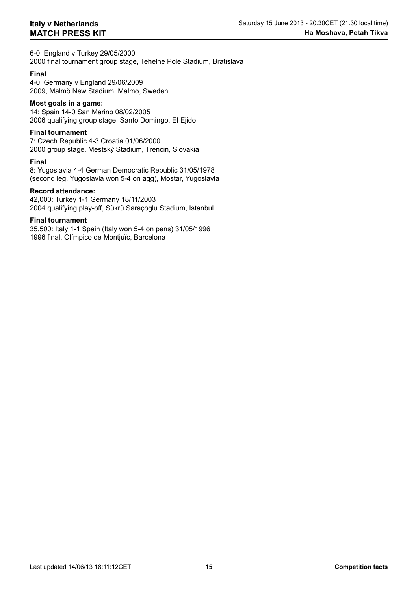6-0: England v Turkey 29/05/2000 2000 final tournament group stage, Tehelné Pole Stadium, Bratislava

#### **Final**

4-0: Germany v England 29/06/2009 2009, Malmö New Stadium, Malmo, Sweden

# **Most goals in a game:**

14: Spain 14-0 San Marino 08/02/2005 2006 qualifying group stage, Santo Domingo, El Ejido

#### **Final tournament**

7: Czech Republic 4-3 Croatia 01/06/2000 2000 group stage, Mestský Stadium, Trencin, Slovakia

#### **Final**

8: Yugoslavia 4-4 German Democratic Republic 31/05/1978 (second leg, Yugoslavia won 5-4 on agg), Mostar, Yugoslavia

#### **Record attendance:**

42,000: Turkey 1-1 Germany 18/11/2003 2004 qualifying play-off, Sükrü Saraçoglu Stadium, Istanbul

#### **Final tournament**

35,500: Italy 1-1 Spain (Italy won 5-4 on pens) 31/05/1996 1996 final, Olímpico de Montjuïc, Barcelona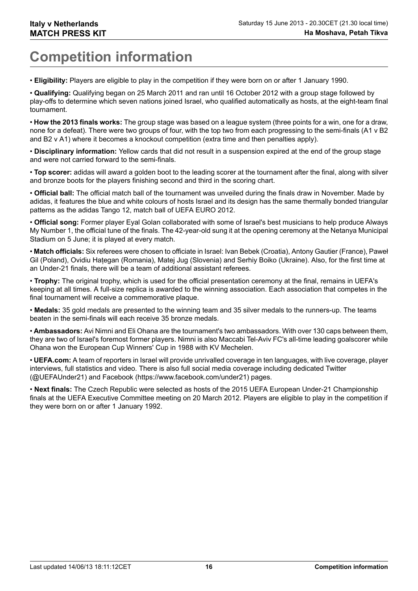# **Competition information**

• **Eligibility:** Players are eligible to play in the competition if they were born on or after 1 January 1990.

• **Qualifying:** Qualifying began on 25 March 2011 and ran until 16 October 2012 with a group stage followed by play-offs to determine which seven nations joined Israel, who qualified automatically as hosts, at the eight-team final tournament.

• **How the 2013 finals works:** The group stage was based on a league system (three points for a win, one for a draw, none for a defeat). There were two groups of four, with the top two from each progressing to the semi-finals (A1 v B2 and B2 v A1) where it becomes a knockout competition (extra time and then penalties apply).

• **Disciplinary information:** Yellow cards that did not result in a suspension expired at the end of the group stage and were not carried forward to the semi-finals.

• **Top scorer:** adidas will award a golden boot to the leading scorer at the tournament after the final, along with silver and bronze boots for the players finishing second and third in the scoring chart.

• **Official ball:** The official match ball of the tournament was unveiled during the finals draw in November. Made by adidas, it features the blue and white colours of hosts Israel and its design has the same thermally bonded triangular patterns as the adidas Tango 12, match ball of UEFA EURO 2012.

• **Official song:** Former player Eyal Golan collaborated with some of Israel's best musicians to help produce Always My Number 1, the official tune of the finals. The 42-year-old sung it at the opening ceremony at the Netanya Municipal Stadium on 5 June; it is played at every match.

• **Match officials:** Six referees were chosen to officiate in Israel: Ivan Bebek (Croatia), Antony Gautier (France), Paweł Gil (Poland), Ovidiu Hategan (Romania), Matej Jug (Slovenia) and Serhiy Boiko (Ukraine). Also, for the first time at an Under-21 finals, there will be a team of additional assistant referees.

• **Trophy:** The original trophy, which is used for the official presentation ceremony at the final, remains in UEFA's keeping at all times. A full-size replica is awarded to the winning association. Each association that competes in the final tournament will receive a commemorative plaque.

• **Medals:** 35 gold medals are presented to the winning team and 35 silver medals to the runners-up. The teams beaten in the semi-finals will each receive 35 bronze medals.

• **Ambassadors:** Avi Nimni and Eli Ohana are the tournament's two ambassadors. With over 130 caps between them, they are two of Israel's foremost former players. Nimni is also Maccabi Tel-Aviv FC's all-time leading goalscorer while Ohana won the European Cup Winners' Cup in 1988 with KV Mechelen.

• **UEFA.com:** A team of reporters in Israel will provide unrivalled coverage in ten languages, with live coverage, player interviews, full statistics and video. There is also full social media coverage including dedicated Twitter (@UEFAUnder21) and Facebook (https://www.facebook.com/under21) pages.

• **Next finals:** The Czech Republic were selected as hosts of the 2015 UEFA European Under-21 Championship finals at the UEFA Executive Committee meeting on 20 March 2012. Players are eligible to play in the competition if they were born on or after 1 January 1992.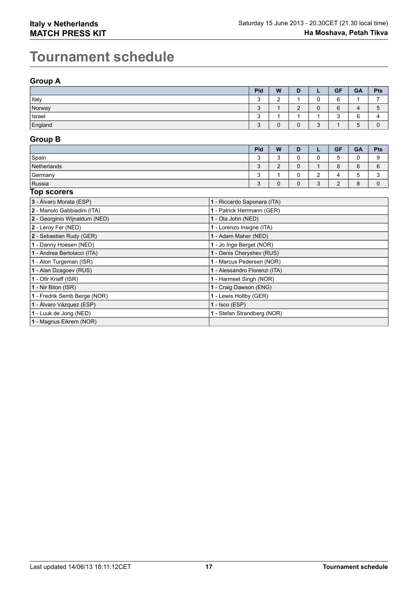# **Tournament schedule**

# **Group A**

|              | Pld           | W      | D           | -           | <b>GF</b>           | GA          | <b>Pts</b> |
|--------------|---------------|--------|-------------|-------------|---------------------|-------------|------------|
| <b>Italy</b> | c<br>J        | $\sim$ |             | ∽<br>ີ      | 6                   |             | -          |
| Norway       | $\Omega$<br>N |        | $\sim$<br>- | ∽<br>u      | 6                   | 4           | ა          |
| Israel       | ◠<br>u        |        |             |             | $\overline{ }$<br>ູ | ∽<br>∽<br>◡ |            |
| England      | ◠<br>$\sim$   |        | ⌒<br>U      | $\sim$<br>J |                     | 5           |            |

# **Group B**

|                                    | Pld             | W           | D |                               | <b>GF</b>     | <b>GA</b> | <b>Pts</b>  |
|------------------------------------|-----------------|-------------|---|-------------------------------|---------------|-----------|-------------|
| Spain                              | $\epsilon$<br>J | ີ<br>u      |   | ີ                             | -<br>∽<br>ັ   | υ         |             |
| Netherlands                        | ◠<br>J          | $\sim$<br>- |   |                               | $\Omega$<br>О | 6         | $\sim$<br>6 |
| Germany                            | ى               |             |   | $\overline{\phantom{a}}$<br>_ |               | Ð         |             |
| Russia<br>$\overline{\phantom{a}}$ | c<br>J          | c           |   | ⌒<br>ີ                        | c             | 8         |             |

#### **Top scorers**

| 3 - Álvaro Morata (ESP)       | 1 - Riccardo Saponara (ITA)   |
|-------------------------------|-------------------------------|
| 2 - Manolo Gabbiadini (ITA)   | 1 - Patrick Herrmann (GER)    |
| 2 - Georginio Wijnaldum (NED) | 1 - Ola John (NED)            |
| 2 - Leroy Fer (NED)           | 1 - Lorenzo Insigne (ITA)     |
| 2 - Sebastian Rudy (GER)      | 1 - Adam Maher (NED)          |
| 1 - Danny Hoesen (NED)        | 1 - Jo Inge Berget (NOR)      |
| 1 - Andrea Bertolacci (ITA)   | 1 - Denis Cheryshev (RUS)     |
| 1 - Alon Turgeman (ISR)       | 1 - Marcus Pedersen (NOR)     |
| 1 - Alan Dzagoev (RUS)        | 1 - Alessandro Florenzi (ITA) |
| 1 - Ofir Krieff (ISR)         | 1 - Harmeet Singh (NOR)       |
| 1 - Nir Biton (ISR)           | 1 - Craig Dawson (ENG)        |
| 1 - Fredrik Semb Berge (NOR)  | 1 - Lewis Holtby (GER)        |
| 1 - Álvaro Vázquez (ESP)      | $1 - \text{Isco (ESP)}$       |
| 1 - Luuk de Jong (NED)        | 1 - Stefan Strandberg (NOR)   |
| 1 - Magnus Eikrem (NOR)       |                               |